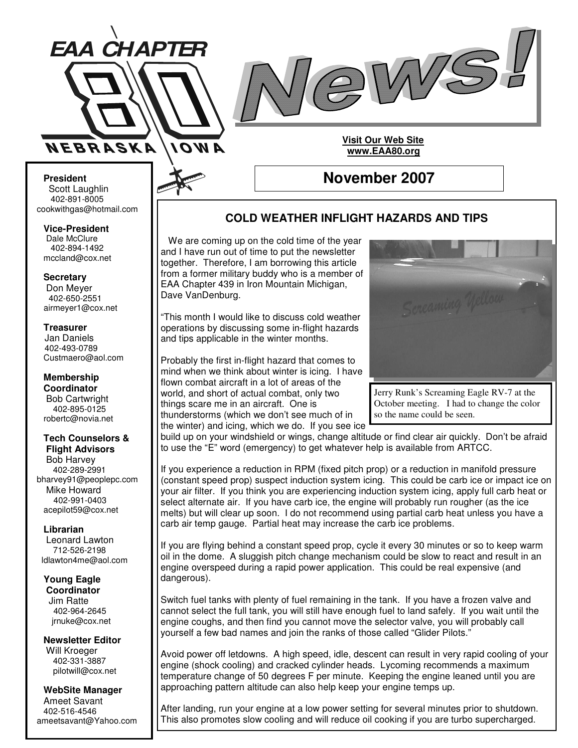



**November 2007**

**Visit Our Web Site www.EAA80.org**

**President** Scott Laughlin 402-891-8005 cookwithgas@hotmail.com

**Vice-President** Dale McClure 402-894-1492 mccland@cox.net

**Secretary**

Don Meyer 402-650-2551 airmeyer1@cox.net

**Treasurer** Jan Daniels 402-493-0789 Custmaero@aol.com

**Membership Coordinator** Bob Cartwright 402-895-0125 robertc@novia.net

**Tech Counselors & Flight Advisors** Bob Harvey 402-289-2991 bharvey91@peoplepc.com Mike Howard 402-991-0403 acepilot59@cox.net

#### **Librarian**

Leonard Lawton 712-526-2198 ldlawton4me@aol.com

#### **Young Eagle Coordinator**

Jim Ratte 402-964-2645 jrnuke@cox.net

#### **Newsletter Editor** Will Kroeger

402-331-3887 pilotwill@cox.net

**WebSite Manager** Ameet Savant 402-516-4546 ameetsavant@Yahoo.com

# **COLD WEATHER INFLIGHT HAZARDS AND TIPS**

We are coming up on the cold time of the year and I have run out of time to put the newsletter together. Therefore, I am borrowing this article from a former military buddy who is a member of EAA Chapter 439 in Iron Mountain Michigan, Dave VanDenburg.

"This month I would like to discuss cold weather operations by discussing some in-flight hazards and tips applicable in the winter months.

Probably the first in-flight hazard that comes to mind when we think about winter is icing. I have flown combat aircraft in a lot of areas of the world, and short of actual combat, only two things scare me in an aircraft. One is thunderstorms (which we don't see much of in the winter) and icing, which we do. If you see ice



Jerry Runk's Screaming Eagle RV-7 at the October meeting. I had to change the color so the name could be seen.

build up on your windshield or wings, change altitude or find clear air quickly. Don't be afraid to use the "E" word (emergency) to get whatever help is available from ARTCC.

If you experience a reduction in RPM (fixed pitch prop) or a reduction in manifold pressure (constant speed prop) suspect induction system icing. This could be carb ice or impact ice on your air filter. If you think you are experiencing induction system icing, apply full carb heat or select alternate air. If you have carb ice, the engine will probably run rougher (as the ice melts) but will clear up soon. I do not recommend using partial carb heat unless you have a carb air temp gauge. Partial heat may increase the carb ice problems.

If you are flying behind a constant speed prop, cycle it every 30 minutes or so to keep warm oil in the dome. A sluggish pitch change mechanism could be slow to react and result in an engine overspeed during a rapid power application. This could be real expensive (and dangerous).

Switch fuel tanks with plenty of fuel remaining in the tank. If you have a frozen valve and cannot select the full tank, you will still have enough fuel to land safely. If you wait until the engine coughs, and then find you cannot move the selector valve, you will probably call yourself a few bad names and join the ranks of those called "Glider Pilots."

Avoid power off letdowns. A high speed, idle, descent can result in very rapid cooling of your engine (shock cooling) and cracked cylinder heads. Lycoming recommends a maximum temperature change of 50 degrees F per minute. Keeping the engine leaned until you are approaching pattern altitude can also help keep your engine temps up.

After landing, run your engine at a low power setting for several minutes prior to shutdown. This also promotes slow cooling and will reduce oil cooking if you are turbo supercharged.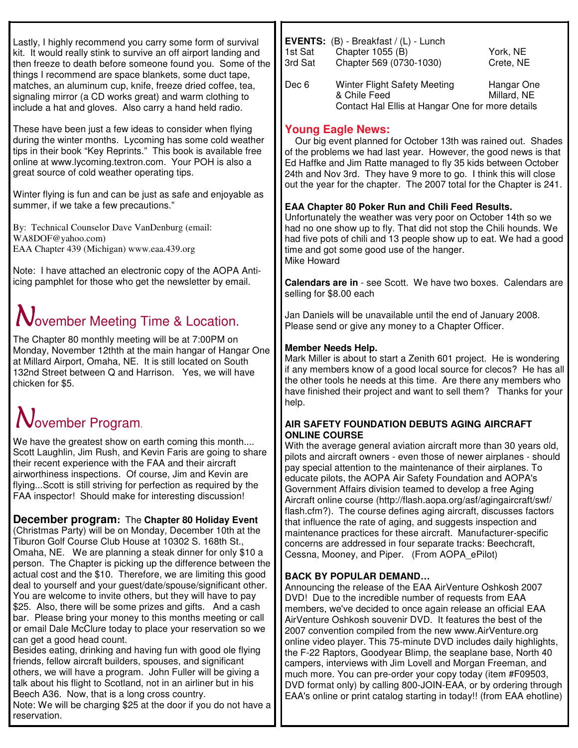Lastly, I highly recommend you carry some form of survival kit. It would really stink to survive an off airport landing and then freeze to death before someone found you. Some of the things I recommend are space blankets, some duct tape, matches, an aluminum cup, knife, freeze dried coffee, tea, signaling mirror (a CD works great) and warm clothing to include a hat and gloves. Also carry a hand held radio.

These have been just a few ideas to consider when flying during the winter months. Lycoming has some cold weather tips in their book "Key Reprints." This book is available free online at www.lycoming.textron.com. Your POH is also a great source of cold weather operating tips.

Winter flying is fun and can be just as safe and enjoyable as summer, if we take a few precautions."

By: Technical Counselor Dave VanDenburg (email: WA8DOF@yahoo.com) EAA Chapter 439 (Michigan) www.eaa.439.org

Note: I have attached an electronic copy of the AOPA Antiicing pamphlet for those who get the newsletter by email.

# $\mathbf N$ ovember Meeting Time & Location.

The Chapter 80 monthly meeting will be at 7:00PM on Monday, November 12thth at the main hangar of Hangar One at Millard Airport, Omaha, NE. It is still located on South 132nd Street between Q and Harrison. Yes, we will have chicken for \$5.

# $\mathcal N$ ovember Program.

We have the greatest show on earth coming this month.... Scott Laughlin, Jim Rush, and Kevin Faris are going to share their recent experience with the FAA and their aircraft airworthiness inspections. Of course, Jim and Kevin are flying...Scott is still striving for perfection as required by the FAA inspector! Should make for interesting discussion!

**December program:** The **Chapter 80 Holiday Event** (Christmas Party) will be on Monday, December 10th at the Tiburon Golf Course Club House at 10302 S. 168th St., Omaha, NE. We are planning a steak dinner for only \$10 a person. The Chapter is picking up the difference between the actual cost and the \$10. Therefore, we are limiting this good deal to yourself and your guest/date/spouse/significant other. You are welcome to invite others, but they will have to pay \$25. Also, there will be some prizes and gifts. And a cash bar. Please bring your money to this months meeting or call or email Dale McClure today to place your reservation so we can get a good head count.

Besides eating, drinking and having fun with good ole flying friends, fellow aircraft builders, spouses, and significant others, we will have a program. John Fuller will be giving a talk about his flight to Scotland, not in an airliner but in his Beech A36. Now, that is a long cross country.

Note: We will be charging \$25 at the door if you do not have a reservation.

| 1st Sat<br>3rd Sat | EVENTS: (B) - Breakfast / (L) - Lunch<br>Chapter 1055 (B)<br>Chapter 569 (0730-1030)                    | York, NE<br>Crete, NE     |
|--------------------|---------------------------------------------------------------------------------------------------------|---------------------------|
| Dec 6              | <b>Winter Flight Safety Meeting</b><br>& Chile Feed<br>Contact Hal Ellis at Hangar One for more details | Hangar One<br>Millard, NE |

## **Young Eagle News:**

Our big event planned for October 13th was rained out. Shades of the problems we had last year. However, the good news is that Ed Haffke and Jim Ratte managed to fly 35 kids between October 24th and Nov 3rd. They have 9 more to go. I think this will close out the year for the chapter. The 2007 total for the Chapter is 241.

## **EAA Chapter 80 Poker Run and Chili Feed Results.**

Unfortunately the weather was very poor on October 14th so we had no one show up to fly. That did not stop the Chili hounds. We had five pots of chili and 13 people show up to eat. We had a good time and got some good use of the hanger. Mike Howard

**Calendars are in** - see Scott. We have two boxes. Calendars are selling for \$8.00 each

Jan Daniels will be unavailable until the end of January 2008. Please send or give any money to a Chapter Officer.

## **Member Needs Help.**

Mark Miller is about to start a Zenith 601 project. He is wondering if any members know of a good local source for clecos? He has all the other tools he needs at this time. Are there any members who have finished their project and want to sell them? Thanks for your help.

### **AIR SAFETY FOUNDATION DEBUTS AGING AIRCRAFT ONLINE COURSE**

With the average general aviation aircraft more than 30 years old, pilots and aircraft owners - even those of newer airplanes - should pay special attention to the maintenance of their airplanes. To educate pilots, the AOPA Air Safety Foundation and AOPA's Government Affairs division teamed to develop a free Aging Aircraft online course (http://flash.aopa.org/asf/agingaircraft/swf/ flash.cfm?). The course defines aging aircraft, discusses factors that influence the rate of aging, and suggests inspection and maintenance practices for these aircraft. Manufacturer-specific concerns are addressed in four separate tracks: Beechcraft, Cessna, Mooney, and Piper. (From AOPA\_ePilot)

## **BACK BY POPULAR DEMAND…**

Announcing the release of the EAA AirVenture Oshkosh 2007 DVD! Due to the incredible number of requests from EAA members, we've decided to once again release an official EAA AirVenture Oshkosh souvenir DVD. It features the best of the 2007 convention compiled from the new www.AirVenture.org online video player. This 75-minute DVD includes daily highlights, the F-22 Raptors, Goodyear Blimp, the seaplane base, North 40 campers, interviews with Jim Lovell and Morgan Freeman, and much more. You can pre-order your copy today (item #F09503, DVD format only) by calling 800-JOIN-EAA, or by ordering through EAA's online or print catalog starting in today!! (from EAA ehotline)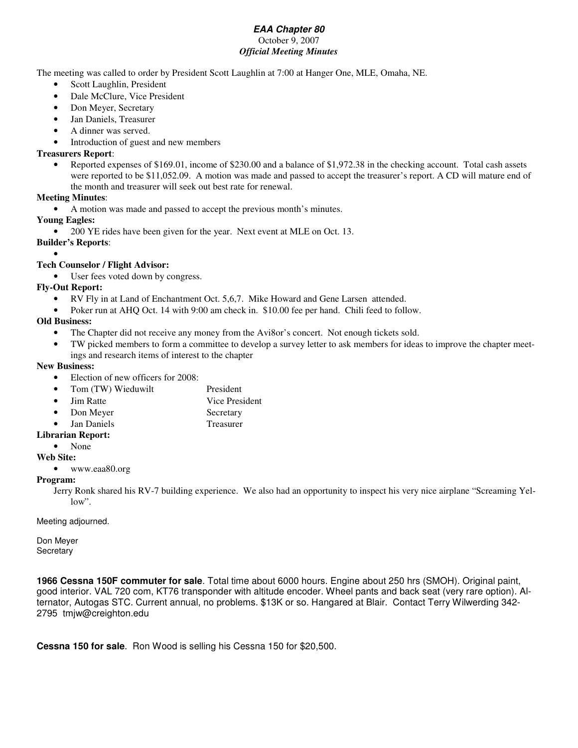#### *EAA Chapter 80* October 9, 2007 *Official Meeting Minutes*

The meeting was called to order by President Scott Laughlin at 7:00 at Hanger One, MLE, Omaha, NE.

- Scott Laughlin, President
- Dale McClure, Vice President
- Don Meyer, Secretary
- Jan Daniels, Treasurer
- A dinner was served.
- Introduction of guest and new members

#### **Treasurers Report**:

• Reported expenses of \$169.01, income of \$230.00 and a balance of \$1,972.38 in the checking account. Total cash assets were reported to be \$11,052.09. A motion was made and passed to accept the treasurer's report. A CD will mature end of the month and treasurer will seek out best rate for renewal.

#### **Meeting Minutes**:

• A motion was made and passed to accept the previous month's minutes.

**Young Eagles:**

• 200 YE rides have been given for the year. Next event at MLE on Oct. 13.

**Builder's Reports**:

#### • **Tech Counselor / Flight Advisor:**

• User fees voted down by congress.

### **Fly-Out Report:**

- RV Fly in at Land of Enchantment Oct. 5,6,7. Mike Howard and Gene Larsen attended.
- Poker run at AHQ Oct. 14 with 9:00 am check in. \$10.00 fee per hand. Chili feed to follow.

#### **Old Business:**

- The Chapter did not receive any money from the Avi8or's concert. Not enough tickets sold.
- TW picked members to form a committee to develop a survey letter to ask members for ideas to improve the chapter meetings and research items of interest to the chapter

#### **New Business:**

- Election of new officers for 2008:
- Tom (TW) Wieduwilt President
- Jim Ratte Vice President
- Don Meyer Secretary
- Jan Daniels Treasurer

#### **Librarian Report:**

• None

### **Web Site:**

• www.eaa80.org

#### **Program:**

Jerry Ronk shared his RV-7 building experience. We also had an opportunity to inspect his very nice airplane "Screaming Yellow".

Meeting adjourned.

Don Meyer **Secretary** 

**1966 Cessna 150F commuter for sale**. Total time about 6000 hours. Engine about 250 hrs (SMOH). Original paint, good interior. VAL 720 com, KT76 transponder with altitude encoder. Wheel pants and back seat (very rare option). Alternator, Autogas STC. Current annual, no problems. \$13K or so. Hangared at Blair. Contact Terry Wilwerding 342- 2795 tmjw@creighton.edu

**Cessna 150 for sale**. Ron Wood is selling his Cessna 150 for \$20,500.